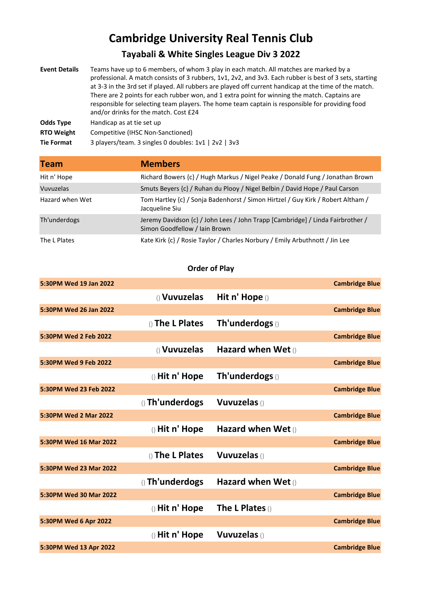## **Cambridge University Real Tennis Club**

## **Tayabali & White Singles League Div 3 2022**

| <b>Event Details</b> | Teams have up to 6 members, of whom 3 play in each match. All matches are marked by a<br>professional. A match consists of 3 rubbers, 1v1, 2v2, and 3v3. Each rubber is best of 3 sets, starting<br>at 3-3 in the 3rd set if played. All rubbers are played off current handicap at the time of the match.<br>There are 2 points for each rubber won, and 1 extra point for winning the match. Captains are<br>responsible for selecting team players. The home team captain is responsible for providing food<br>and/or drinks for the match. Cost £24 |
|----------------------|---------------------------------------------------------------------------------------------------------------------------------------------------------------------------------------------------------------------------------------------------------------------------------------------------------------------------------------------------------------------------------------------------------------------------------------------------------------------------------------------------------------------------------------------------------|
| <b>Odds Type</b>     | Handicap as at tie set up                                                                                                                                                                                                                                                                                                                                                                                                                                                                                                                               |
| <b>RTO Weight</b>    | Competitive (IHSC Non-Sanctioned)                                                                                                                                                                                                                                                                                                                                                                                                                                                                                                                       |
| <b>Tie Format</b>    | 3 players/team. 3 singles 0 doubles: 1v1   2v2   3v3                                                                                                                                                                                                                                                                                                                                                                                                                                                                                                    |

| <b>Team</b>     | <b>Members</b>                                                                                                  |
|-----------------|-----------------------------------------------------------------------------------------------------------------|
| Hit n' Hope     | Richard Bowers {c} / Hugh Markus / Nigel Peake / Donald Fung / Jonathan Brown                                   |
| Vuvuzelas       | Smuts Beyers {c} / Ruhan du Plooy / Nigel Belbin / David Hope / Paul Carson                                     |
| Hazard when Wet | Tom Hartley {c} / Sonja Badenhorst / Simon Hirtzel / Guy Kirk / Robert Altham /<br>Jacqueline Siu               |
| Th'underdogs    | Jeremy Davidson {c} / John Lees / John Trapp [Cambridge] / Linda Fairbrother /<br>Simon Goodfellow / Iain Brown |
| The L Plates    | Kate Kirk {c} / Rosie Taylor / Charles Norbury / Emily Arbuthnott / Jin Lee                                     |

## **Order of Play**

| 5:30PM Wed 19 Jan 2022 |                  |                      | <b>Cambridge Blue</b> |
|------------------------|------------------|----------------------|-----------------------|
|                        | () Vuvuzelas     | Hit n' Hope ()       |                       |
| 5:30PM Wed 26 Jan 2022 |                  |                      | <b>Cambridge Blue</b> |
|                        | () The L Plates  | Th'underdogs()       |                       |
| 5:30PM Wed 2 Feb 2022  |                  |                      | <b>Cambridge Blue</b> |
|                        | () Vuvuzelas     | Hazard when Wet $()$ |                       |
| 5:30PM Wed 9 Feb 2022  |                  |                      | <b>Cambridge Blue</b> |
|                        | $()$ Hit n' Hope | Th'underdogs()       |                       |
| 5:30PM Wed 23 Feb 2022 |                  |                      | <b>Cambridge Blue</b> |
|                        | () Th'underdogs  | <b>Vuvuzelas</b> ()  |                       |
| 5:30PM Wed 2 Mar 2022  |                  |                      | <b>Cambridge Blue</b> |
|                        | () Hit n' Hope   | Hazard when Wet $()$ |                       |
| 5:30PM Wed 16 Mar 2022 |                  |                      | <b>Cambridge Blue</b> |
|                        | () The L Plates  | <b>Vuvuzelas</b> ()  |                       |
| 5:30PM Wed 23 Mar 2022 |                  |                      | <b>Cambridge Blue</b> |
|                        | () Th'underdogs  | Hazard when Wet $()$ |                       |
| 5:30PM Wed 30 Mar 2022 |                  |                      | <b>Cambridge Blue</b> |
|                        | () Hit n' Hope   | The L Plates $()$    |                       |
| 5:30PM Wed 6 Apr 2022  |                  |                      | <b>Cambridge Blue</b> |
|                        | $()$ Hit n' Hope | <b>Vuvuzelas</b> ()  |                       |
| 5:30PM Wed 13 Apr 2022 |                  |                      | <b>Cambridge Blue</b> |